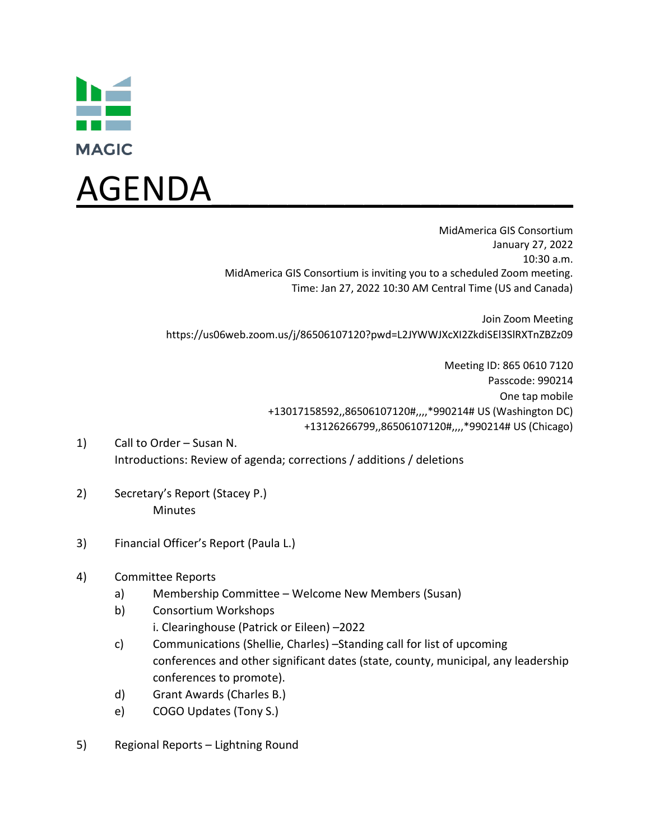



MidAmerica GIS Consortium January 27, 2022 10:30 a.m. MidAmerica GIS Consortium is inviting you to a scheduled Zoom meeting. Time: Jan 27, 2022 10:30 AM Central Time (US and Canada)

Join Zoom Meeting https://us06web.zoom.us/j/86506107120?pwd=L2JYWWJXcXI2ZkdiSEl3SlRXTnZBZz09

> Meeting ID: 865 0610 7120 Passcode: 990214 One tap mobile +13017158592,,86506107120#,,,,\*990214# US (Washington DC) +13126266799,,86506107120#,,,,\*990214# US (Chicago)

- 1) Call to Order Susan N. Introductions: Review of agenda; corrections / additions / deletions
- 2) Secretary's Report (Stacey P.) **Minutes**
- 3) Financial Officer's Report (Paula L.)
- 4) Committee Reports
	- a) Membership Committee Welcome New Members (Susan)
	- b) Consortium Workshops
		- i. Clearinghouse (Patrick or Eileen) –2022
	- c) Communications (Shellie, Charles) –Standing call for list of upcoming conferences and other significant dates (state, county, municipal, any leadership conferences to promote).
	- d) Grant Awards (Charles B.)
	- e) COGO Updates (Tony S.)
- 5) Regional Reports Lightning Round